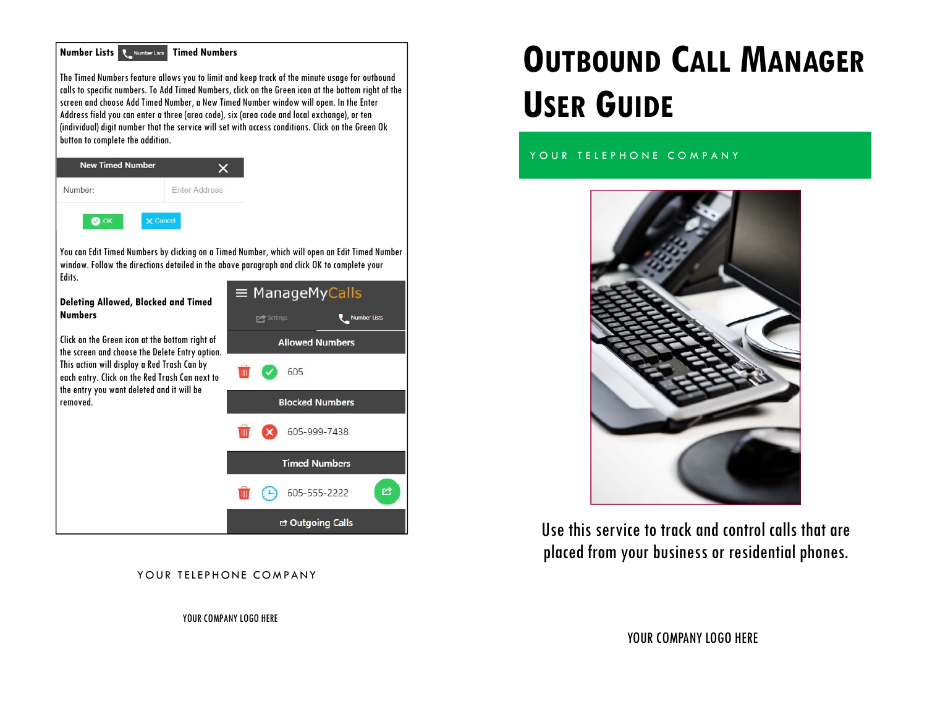

### YOUR TELEPHONE COMPANY

**OUTBOUND CALL MANAGERUSER GUIDE**

YOUR TELEPHONE COMPANY



Use this service to track and control calls that are placed from your business or residential phones.

YOUR COMPANY LOGO HERE

YOUR COMPANY LOGO HERE